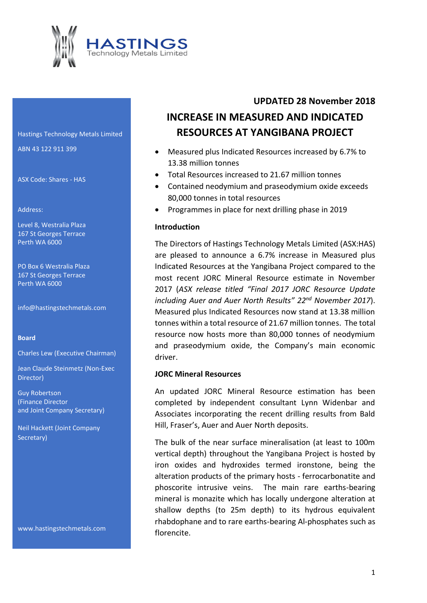

Hastings Technology Metals Limited ABN 43 122 911 399

ASX Code: Shares - HAS

#### Address:

Level 8, Westralia Plaza 167 St Georges Terrace Perth WA 6000

PO Box 6 Westralia Plaza 167 St Georges Terrace Perth WA 6000

info@hastingstechmetals.com

#### **Board**

Charles Lew (Executive Chairman)

Jean Claude Steinmetz (Non-Exec Director)

Guy Robertson (Finance Director and Joint Company Secretary)

Neil Hackett (Joint Company Secretary)

www.hastingstechmetals.com

# **UPDATED 28 November 2018 INCREASE IN MEASURED AND INDICATED RESOURCES AT YANGIBANA PROJECT**

- Measured plus Indicated Resources increased by 6.7% to 13.38 million tonnes
- Total Resources increased to 21.67 million tonnes
- Contained neodymium and praseodymium oxide exceeds 80,000 tonnes in total resources
- Programmes in place for next drilling phase in 2019

#### **Introduction**

The Directors of Hastings Technology Metals Limited (ASX:HAS) are pleased to announce a 6.7% increase in Measured plus Indicated Resources at the Yangibana Project compared to the most recent JORC Mineral Resource estimate in November 2017 (*ASX release titled "Final 2017 JORC Resource Update including Auer and Auer North Results" 22nd November 2017*). Measured plus Indicated Resources now stand at 13.38 million tonnes within a total resource of 21.67 million tonnes. The total resource now hosts more than 80,000 tonnes of neodymium and praseodymium oxide, the Company's main economic driver.

#### **JORC Mineral Resources**

An updated JORC Mineral Resource estimation has been completed by independent consultant Lynn Widenbar and Associates incorporating the recent drilling results from Bald Hill, Fraser's, Auer and Auer North deposits.

The bulk of the near surface mineralisation (at least to 100m vertical depth) throughout the Yangibana Project is hosted by iron oxides and hydroxides termed ironstone, being the alteration products of the primary hosts - ferrocarbonatite and phoscorite intrusive veins. The main rare earths-bearing mineral is monazite which has locally undergone alteration at shallow depths (to 25m depth) to its hydrous equivalent rhabdophane and to rare earths-bearing Al-phosphates such as florencite.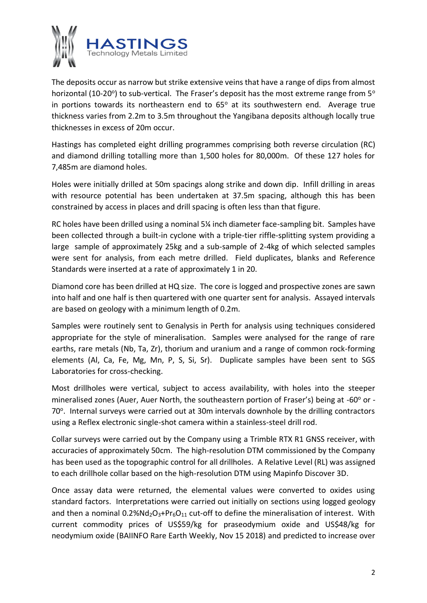

The deposits occur as narrow but strike extensive veins that have a range of dips from almost horizontal (10-20°) to sub-vertical. The Fraser's deposit has the most extreme range from  $5^\circ$ in portions towards its northeastern end to  $65^\circ$  at its southwestern end. Average true thickness varies from 2.2m to 3.5m throughout the Yangibana deposits although locally true thicknesses in excess of 20m occur.

Hastings has completed eight drilling programmes comprising both reverse circulation (RC) and diamond drilling totalling more than 1,500 holes for 80,000m. Of these 127 holes for 7,485m are diamond holes.

Holes were initially drilled at 50m spacings along strike and down dip. Infill drilling in areas with resource potential has been undertaken at 37.5m spacing, although this has been constrained by access in places and drill spacing is often less than that figure.

RC holes have been drilled using a nominal 5¼ inch diameter face-sampling bit. Samples have been collected through a built-in cyclone with a triple-tier riffle-splitting system providing a large sample of approximately 25kg and a sub-sample of 2-4kg of which selected samples were sent for analysis, from each metre drilled. Field duplicates, blanks and Reference Standards were inserted at a rate of approximately 1 in 20.

Diamond core has been drilled at HQ size. The core is logged and prospective zones are sawn into half and one half is then quartered with one quarter sent for analysis. Assayed intervals are based on geology with a minimum length of 0.2m.

Samples were routinely sent to Genalysis in Perth for analysis using techniques considered appropriate for the style of mineralisation. Samples were analysed for the range of rare earths, rare metals (Nb, Ta, Zr), thorium and uranium and a range of common rock-forming elements (Al, Ca, Fe, Mg, Mn, P, S, Si, Sr). Duplicate samples have been sent to SGS Laboratories for cross-checking.

Most drillholes were vertical, subject to access availability, with holes into the steeper mineralised zones (Auer, Auer North, the southeastern portion of Fraser's) being at -60° or -70°. Internal surveys were carried out at 30m intervals downhole by the drilling contractors using a Reflex electronic single-shot camera within a stainless-steel drill rod.

Collar surveys were carried out by the Company using a Trimble RTX R1 GNSS receiver, with accuracies of approximately 50cm. The high-resolution DTM commissioned by the Company has been used as the topographic control for all drillholes. A Relative Level (RL) was assigned to each drillhole collar based on the high-resolution DTM using Mapinfo Discover 3D.

Once assay data were returned, the elemental values were converted to oxides using standard factors. Interpretations were carried out initially on sections using logged geology and then a nominal  $0.2\%$ Nd<sub>2</sub>O<sub>3</sub>+Pr<sub>6</sub>O<sub>11</sub> cut-off to define the mineralisation of interest. With current commodity prices of US\$59/kg for praseodymium oxide and US\$48/kg for neodymium oxide (BAIINFO Rare Earth Weekly, Nov 15 2018) and predicted to increase over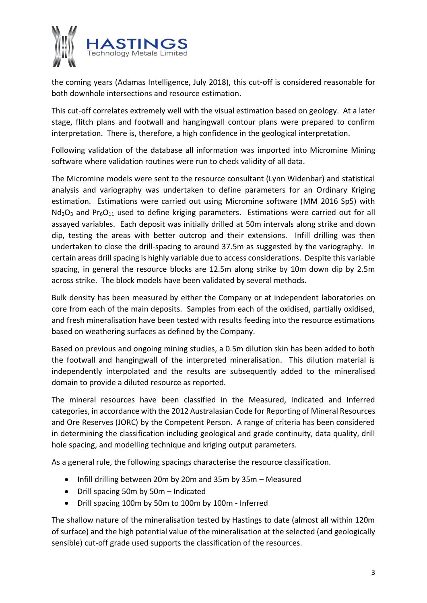

the coming years (Adamas Intelligence, July 2018), this cut-off is considered reasonable for both downhole intersections and resource estimation.

This cut-off correlates extremely well with the visual estimation based on geology. At a later stage, flitch plans and footwall and hangingwall contour plans were prepared to confirm interpretation. There is, therefore, a high confidence in the geological interpretation.

Following validation of the database all information was imported into Micromine Mining software where validation routines were run to check validity of all data.

The Micromine models were sent to the resource consultant (Lynn Widenbar) and statistical analysis and variography was undertaken to define parameters for an Ordinary Kriging estimation. Estimations were carried out using Micromine software (MM 2016 Sp5) with  $Nd_2O_3$  and Pr<sub>6</sub>O<sub>11</sub> used to define kriging parameters. Estimations were carried out for all assayed variables. Each deposit was initially drilled at 50m intervals along strike and down dip, testing the areas with better outcrop and their extensions. Infill drilling was then undertaken to close the drill-spacing to around 37.5m as suggested by the variography. In certain areas drill spacing is highly variable due to access considerations. Despite this variable spacing, in general the resource blocks are 12.5m along strike by 10m down dip by 2.5m across strike. The block models have been validated by several methods.

Bulk density has been measured by either the Company or at independent laboratories on core from each of the main deposits. Samples from each of the oxidised, partially oxidised, and fresh mineralisation have been tested with results feeding into the resource estimations based on weathering surfaces as defined by the Company.

Based on previous and ongoing mining studies, a 0.5m dilution skin has been added to both the footwall and hangingwall of the interpreted mineralisation. This dilution material is independently interpolated and the results are subsequently added to the mineralised domain to provide a diluted resource as reported.

The mineral resources have been classified in the Measured, Indicated and Inferred categories, in accordance with the 2012 Australasian Code for Reporting of Mineral Resources and Ore Reserves (JORC) by the Competent Person. A range of criteria has been considered in determining the classification including geological and grade continuity, data quality, drill hole spacing, and modelling technique and kriging output parameters.

As a general rule, the following spacings characterise the resource classification.

- Infill drilling between 20m by 20m and 35m by 35m Measured
- Drill spacing 50m by 50m Indicated
- Drill spacing 100m by 50m to 100m by 100m Inferred

The shallow nature of the mineralisation tested by Hastings to date (almost all within 120m of surface) and the high potential value of the mineralisation at the selected (and geologically sensible) cut-off grade used supports the classification of the resources.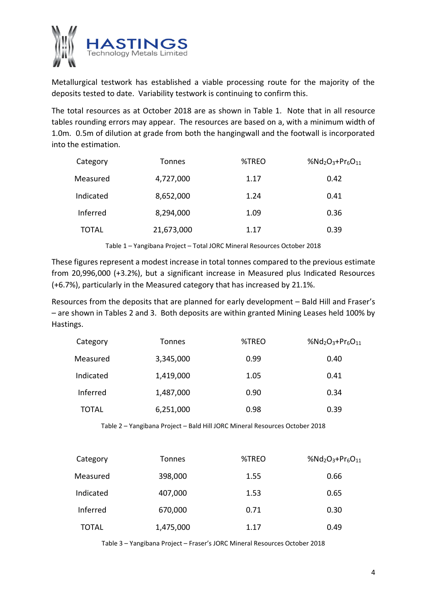

Metallurgical testwork has established a viable processing route for the majority of the deposits tested to date. Variability testwork is continuing to confirm this.

The total resources as at October 2018 are as shown in Table 1. Note that in all resource tables rounding errors may appear. The resources are based on a, with a minimum width of 1.0m. 0.5m of dilution at grade from both the hangingwall and the footwall is incorporated into the estimation.

| Category     | Tonnes     | %TREO | %Nd <sub>2</sub> O <sub>3</sub> +Pr <sub>6</sub> O <sub>11</sub> |
|--------------|------------|-------|------------------------------------------------------------------|
| Measured     | 4,727,000  | 1.17  | 0.42                                                             |
| Indicated    | 8,652,000  | 1.24  | 0.41                                                             |
| Inferred     | 8,294,000  | 1.09  | 0.36                                                             |
| <b>TOTAL</b> | 21,673,000 | 1.17  | 0.39                                                             |

Table 1 – Yangibana Project – Total JORC Mineral Resources October 2018

These figures represent a modest increase in total tonnes compared to the previous estimate from 20,996,000 (+3.2%), but a significant increase in Measured plus Indicated Resources (+6.7%), particularly in the Measured category that has increased by 21.1%.

Resources from the deposits that are planned for early development – Bald Hill and Fraser's – are shown in Tables 2 and 3. Both deposits are within granted Mining Leases held 100% by Hastings.

| Category     | <b>Tonnes</b> | %TREO | %Nd <sub>2</sub> O <sub>3</sub> +Pr <sub>6</sub> O <sub>11</sub> |
|--------------|---------------|-------|------------------------------------------------------------------|
| Measured     | 3,345,000     | 0.99  | 0.40                                                             |
| Indicated    | 1,419,000     | 1.05  | 0.41                                                             |
| Inferred     | 1,487,000     | 0.90  | 0.34                                                             |
| <b>TOTAL</b> | 6,251,000     | 0.98  | 0.39                                                             |

Table 2 – Yangibana Project – Bald Hill JORC Mineral Resources October 2018

| Category     | <b>Tonnes</b> | %TREO | %Nd <sub>2</sub> O <sub>3</sub> +Pr <sub>6</sub> O <sub>11</sub> |
|--------------|---------------|-------|------------------------------------------------------------------|
| Measured     | 398,000       | 1.55  | 0.66                                                             |
| Indicated    | 407,000       | 1.53  | 0.65                                                             |
| Inferred     | 670,000       | 0.71  | 0.30                                                             |
| <b>TOTAL</b> | 1,475,000     | 1.17  | 0.49                                                             |

Table 3 – Yangibana Project – Fraser's JORC Mineral Resources October 2018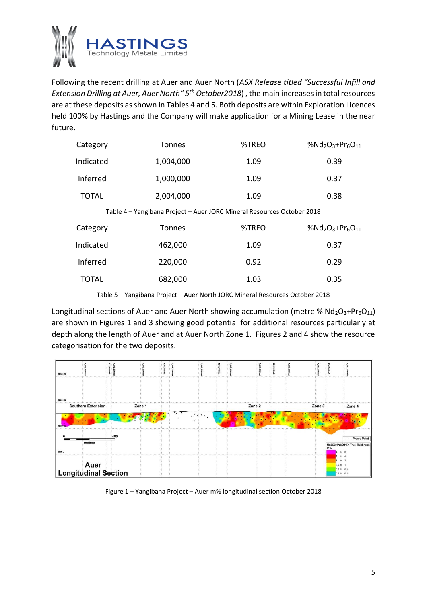

Following the recent drilling at Auer and Auer North (*ASX Release titled "Successful Infill and Extension Drilling at Auer, Auer North" 5th October2018*) , the main increases in total resources are at these deposits as shown in Tables 4 and 5. Both deposits are within Exploration Licences held 100% by Hastings and the Company will make application for a Mining Lease in the near future.

| Category     | <b>Tonnes</b>                                                          | %TREO | %Nd <sub>2</sub> O <sub>3</sub> +Pr <sub>6</sub> O <sub>11</sub> |
|--------------|------------------------------------------------------------------------|-------|------------------------------------------------------------------|
| Indicated    | 1,004,000                                                              | 1.09  | 0.39                                                             |
| Inferred     | 1,000,000                                                              | 1.09  | 0.37                                                             |
| <b>TOTAL</b> | 2,004,000                                                              | 1.09  | 0.38                                                             |
|              | Table 4 - Yangibana Project - Auer JORC Mineral Resources October 2018 |       |                                                                  |
| Category     | <b>Tonnes</b>                                                          | %TREO | %Nd <sub>2</sub> O <sub>3</sub> +Pr <sub>6</sub> O <sub>11</sub> |
| Indicated    | 462,000                                                                | 1.09  | 0.37                                                             |
| Inferred     | 220,000                                                                | 0.92  | 0.29                                                             |
| <b>TOTAL</b> | 682,000                                                                | 1.03  | 0.35                                                             |

Table 5 – Yangibana Project – Auer North JORC Mineral Resources October 2018

Longitudinal sections of Auer and Auer North showing accumulation (metre %  $Nd_2O_3+Pr_6O_{11}$ ) are shown in Figures 1 and 3 showing good potential for additional resources particularly at depth along the length of Auer and at Auer North Zone 1. Figures 2 and 4 show the resource categorisation for the two deposits.



Figure 1 – Yangibana Project – Auer m% longitudinal section October 2018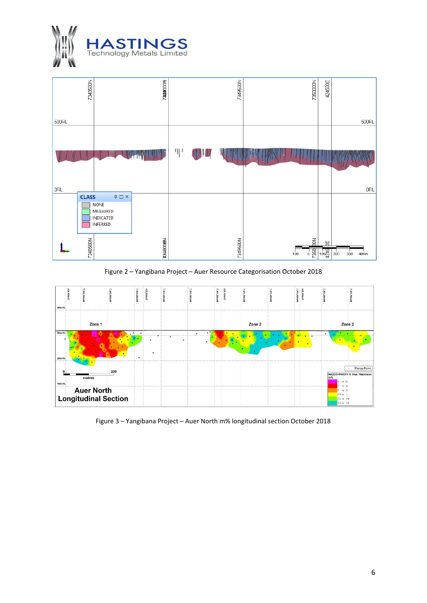



Figure 2 – Yangibana Project – Auer Resource Categorisation October 2018



Figure 3 – Yangibana Project – Auer North m% longitudinal section October 2018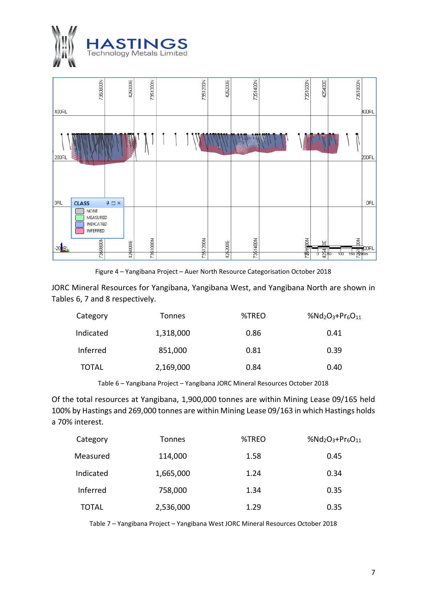



Figure 4 – Yangibana Project – Auer North Resource Categorisation October 2018

JORC Mineral Resources for Yangibana, Yangibana West, and Yangibana North are shown in Tables 6, 7 and 8 respectively.

| Category     | Tonnes    | %TREO<br>%Nd <sub>2</sub> O <sub>3</sub> +Pr <sub>6</sub> O <sub>11</sub> |      |
|--------------|-----------|---------------------------------------------------------------------------|------|
| Indicated    | 1,318,000 | 0.86                                                                      | 0.41 |
| Inferred     | 851,000   | 0.81                                                                      | 0.39 |
| <b>TOTAL</b> | 2,169,000 | 0.84                                                                      | 0.40 |

Table 6 – Yangibana Project – Yangibana JORC Mineral Resources October 2018

Of the total resources at Yangibana, 1,900,000 tonnes are within Mining Lease 09/165 held 100% by Hastings and 269,000 tonnes are within Mining Lease 09/163 in which Hastings holds a 70% interest.

| Category     | Tonnes    | %TREO | %Nd <sub>2</sub> O <sub>3</sub> +Pr <sub>6</sub> O <sub>11</sub> |
|--------------|-----------|-------|------------------------------------------------------------------|
| Measured     | 114,000   | 1.58  | 0.45                                                             |
| Indicated    | 1,665,000 | 1.24  | 0.34                                                             |
| Inferred     | 758,000   | 1.34  | 0.35                                                             |
| <b>TOTAL</b> | 2,536,000 | 1.29  | 0.35                                                             |

Table 7 – Yangibana Project – Yangibana West JORC Mineral Resources October 2018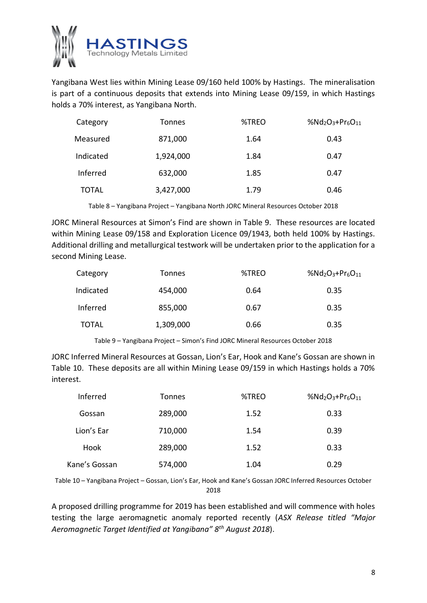

Yangibana West lies within Mining Lease 09/160 held 100% by Hastings. The mineralisation is part of a continuous deposits that extends into Mining Lease 09/159, in which Hastings holds a 70% interest, as Yangibana North.

| Category     | <b>Tonnes</b> | %TREO | %Nd <sub>2</sub> O <sub>3</sub> +Pr <sub>6</sub> O <sub>11</sub> |
|--------------|---------------|-------|------------------------------------------------------------------|
| Measured     | 871,000       | 1.64  | 0.43                                                             |
| Indicated    | 1,924,000     | 1.84  | 0.47                                                             |
| Inferred     | 632,000       | 1.85  | 0.47                                                             |
| <b>TOTAL</b> | 3,427,000     | 1.79  | 0.46                                                             |

Table 8 – Yangibana Project – Yangibana North JORC Mineral Resources October 2018

JORC Mineral Resources at Simon's Find are shown in Table 9. These resources are located within Mining Lease 09/158 and Exploration Licence 09/1943, both held 100% by Hastings. Additional drilling and metallurgical testwork will be undertaken prior to the application for a second Mining Lease.

| Category     | <b>Tonnes</b> | %TREO | %Nd <sub>2</sub> O <sub>3</sub> +Pr <sub>6</sub> O <sub>11</sub> |
|--------------|---------------|-------|------------------------------------------------------------------|
| Indicated    | 454,000       | 0.64  | 0.35                                                             |
| Inferred     | 855,000       | 0.67  | 0.35                                                             |
| <b>TOTAL</b> | 1,309,000     | 0.66  | 0.35                                                             |

Table 9 – Yangibana Project – Simon's Find JORC Mineral Resources October 2018

JORC Inferred Mineral Resources at Gossan, Lion's Ear, Hook and Kane's Gossan are shown in Table 10. These deposits are all within Mining Lease 09/159 in which Hastings holds a 70% interest.

| Inferred      | <b>Tonnes</b> | %TREO | %Nd <sub>2</sub> O <sub>3</sub> +Pr <sub>6</sub> O <sub>11</sub> |
|---------------|---------------|-------|------------------------------------------------------------------|
| Gossan        | 289,000       | 1.52  | 0.33                                                             |
| Lion's Ear    | 710,000       | 1.54  | 0.39                                                             |
| Hook          | 289,000       | 1.52  | 0.33                                                             |
| Kane's Gossan | 574,000       | 1.04  | 0.29                                                             |

Table 10 – Yangibana Project – Gossan, Lion's Ear, Hook and Kane's Gossan JORC Inferred Resources October 2018

A proposed drilling programme for 2019 has been established and will commence with holes testing the large aeromagnetic anomaly reported recently (*ASX Release titled "Major Aeromagnetic Target Identified at Yangibana" 8th August 2018*).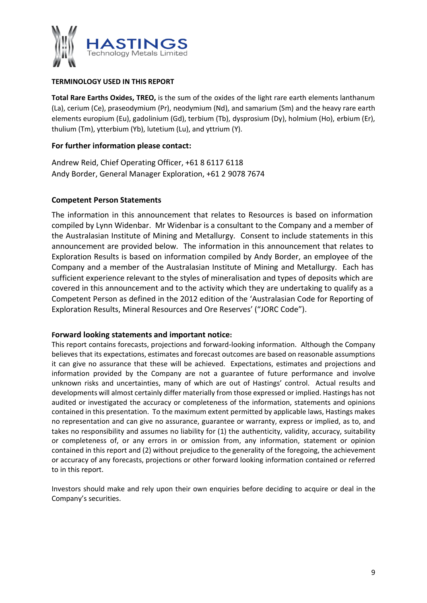

#### **TERMINOLOGY USED IN THIS REPORT**

**Total Rare Earths Oxides, TREO,** is the sum of the oxides of the light rare earth elements lanthanum (La), cerium (Ce), praseodymium (Pr), neodymium (Nd), and samarium (Sm) and the heavy rare earth elements europium (Eu), gadolinium (Gd), terbium (Tb), dysprosium (Dy), holmium (Ho), erbium (Er), thulium (Tm), ytterbium (Yb), lutetium (Lu), and yttrium (Y).

## **For further information please contact:**

Andrew Reid, Chief Operating Officer, +61 8 6117 6118 Andy Border, General Manager Exploration, +61 2 9078 7674

## **Competent Person Statements**

The information in this announcement that relates to Resources is based on information compiled by Lynn Widenbar. Mr Widenbar is a consultant to the Company and a member of the Australasian Institute of Mining and Metallurgy. Consent to include statements in this announcement are provided below. The information in this announcement that relates to Exploration Results is based on information compiled by Andy Border, an employee of the Company and a member of the Australasian Institute of Mining and Metallurgy. Each has sufficient experience relevant to the styles of mineralisation and types of deposits which are covered in this announcement and to the activity which they are undertaking to qualify as a Competent Person as defined in the 2012 edition of the 'Australasian Code for Reporting of Exploration Results, Mineral Resources and Ore Reserves' ("JORC Code").

#### **Forward looking statements and important notice:**

This report contains forecasts, projections and forward-looking information. Although the Company believes that its expectations, estimates and forecast outcomes are based on reasonable assumptions it can give no assurance that these will be achieved. Expectations, estimates and projections and information provided by the Company are not a guarantee of future performance and involve unknown risks and uncertainties, many of which are out of Hastings' control. Actual results and developments will almost certainly differ materially from those expressed or implied. Hastings has not audited or investigated the accuracy or completeness of the information, statements and opinions contained in this presentation. To the maximum extent permitted by applicable laws, Hastings makes no representation and can give no assurance, guarantee or warranty, express or implied, as to, and takes no responsibility and assumes no liability for (1) the authenticity, validity, accuracy, suitability or completeness of, or any errors in or omission from, any information, statement or opinion contained in this report and (2) without prejudice to the generality of the foregoing, the achievement or accuracy of any forecasts, projections or other forward looking information contained or referred to in this report.

Investors should make and rely upon their own enquiries before deciding to acquire or deal in the Company's securities.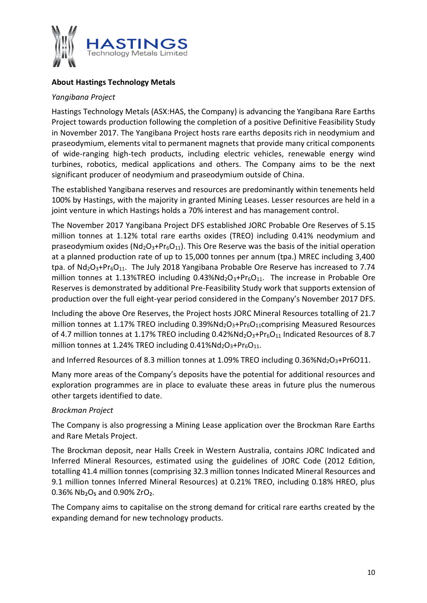

## **About Hastings Technology Metals**

## *Yangibana Project*

Hastings Technology Metals (ASX:HAS, the Company) is advancing the Yangibana Rare Earths Project towards production following the completion of a positive Definitive Feasibility Study in November 2017. The Yangibana Project hosts rare earths deposits rich in neodymium and praseodymium, elements vital to permanent magnets that provide many critical components of wide-ranging high-tech products, including electric vehicles, renewable energy wind turbines, robotics, medical applications and others. The Company aims to be the next significant producer of neodymium and praseodymium outside of China.

The established Yangibana reserves and resources are predominantly within tenements held 100% by Hastings, with the majority in granted Mining Leases. Lesser resources are held in a joint venture in which Hastings holds a 70% interest and has management control.

The November 2017 Yangibana Project DFS established JORC Probable Ore Reserves of 5.15 million tonnes at 1.12% total rare earths oxides (TREO) including 0.41% neodymium and praseodymium oxides ( $Nd<sub>2</sub>O<sub>3</sub>+Pr<sub>6</sub>O<sub>11</sub>$ ). This Ore Reserve was the basis of the initial operation at a planned production rate of up to 15,000 tonnes per annum (tpa.) MREC including 3,400 tpa. of  $Nd_2O_3+Pr_6O_{11}$ . The July 2018 Yangibana Probable Ore Reserve has increased to 7.74 million tonnes at 1.13%TREO including  $0.43\%$ Nd<sub>2</sub>O<sub>3</sub>+Pr<sub>6</sub>O<sub>11</sub>. The increase in Probable Ore Reserves is demonstrated by additional Pre-Feasibility Study work that supports extension of production over the full eight-year period considered in the Company's November 2017 DFS.

Including the above Ore Reserves, the Project hosts JORC Mineral Resources totalling of 21.7 million tonnes at 1.17% TREO including  $0.39\%$ Nd<sub>2</sub>O<sub>3</sub>+Pr<sub>6</sub>O<sub>11</sub>comprising Measured Resources of 4.7 million tonnes at 1.17% TREO including  $0.42\%$ Nd<sub>2</sub>O<sub>3</sub>+Pr<sub>6</sub>O<sub>11</sub> Indicated Resources of 8.7 million tonnes at 1.24% TREO including  $0.41\%$ Nd<sub>2</sub>O<sub>3</sub>+Pr<sub>6</sub>O<sub>11</sub>.

and Inferred Resources of 8.3 million tonnes at 1.09% TREO including 0.36%Nd<sub>2</sub>O<sub>3</sub>+Pr6O11.

Many more areas of the Company's deposits have the potential for additional resources and exploration programmes are in place to evaluate these areas in future plus the numerous other targets identified to date.

## *Brockman Project*

The Company is also progressing a Mining Lease application over the Brockman Rare Earths and Rare Metals Project.

The Brockman deposit, near Halls Creek in Western Australia, contains JORC Indicated and Inferred Mineral Resources, estimated using the guidelines of JORC Code (2012 Edition, totalling 41.4 million tonnes (comprising 32.3 million tonnes Indicated Mineral Resources and 9.1 million tonnes Inferred Mineral Resources) at 0.21% TREO, including 0.18% HREO, plus 0.36%  $Nb<sub>2</sub>O<sub>5</sub>$  and 0.90% ZrO<sub>2</sub>.

The Company aims to capitalise on the strong demand for critical rare earths created by the expanding demand for new technology products.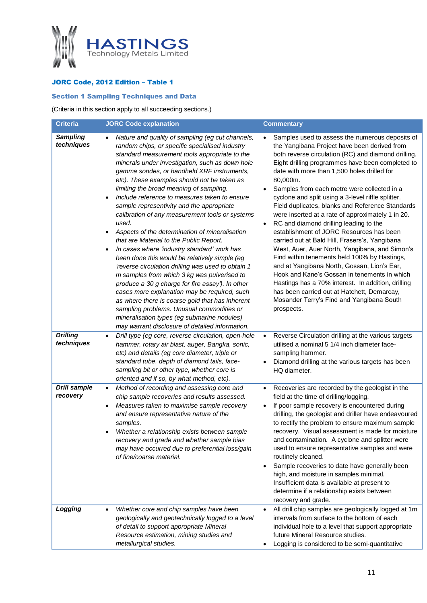

## JORC Code, 2012 Edition – Table 1

## Section 1 Sampling Techniques and Data

(Criteria in this section apply to all succeeding sections.)

| <b>Criteria</b>                 | <b>JORC Code explanation</b>                                                                                                                                                                                                                                                                                                                                                                                                                                                                                                                                                                                                                                                                                                                                                                                                                                                                                                                                                                                                                                                                                          | <b>Commentary</b>                                                                                                                                                                                                                                                                                                                                                                                                                                                                                                                                                                                                                                                                                                                                                                                                                                                                                                                                                                            |
|---------------------------------|-----------------------------------------------------------------------------------------------------------------------------------------------------------------------------------------------------------------------------------------------------------------------------------------------------------------------------------------------------------------------------------------------------------------------------------------------------------------------------------------------------------------------------------------------------------------------------------------------------------------------------------------------------------------------------------------------------------------------------------------------------------------------------------------------------------------------------------------------------------------------------------------------------------------------------------------------------------------------------------------------------------------------------------------------------------------------------------------------------------------------|----------------------------------------------------------------------------------------------------------------------------------------------------------------------------------------------------------------------------------------------------------------------------------------------------------------------------------------------------------------------------------------------------------------------------------------------------------------------------------------------------------------------------------------------------------------------------------------------------------------------------------------------------------------------------------------------------------------------------------------------------------------------------------------------------------------------------------------------------------------------------------------------------------------------------------------------------------------------------------------------|
| <b>Sampling</b><br>techniques   | Nature and quality of sampling (eg cut channels,<br>random chips, or specific specialised industry<br>standard measurement tools appropriate to the<br>minerals under investigation, such as down hole<br>gamma sondes, or handheld XRF instruments,<br>etc). These examples should not be taken as<br>limiting the broad meaning of sampling.<br>Include reference to measures taken to ensure<br>sample representivity and the appropriate<br>calibration of any measurement tools or systems<br>used.<br>Aspects of the determination of mineralisation<br>that are Material to the Public Report.<br>In cases where 'industry standard' work has<br>٠<br>been done this would be relatively simple (eg<br>'reverse circulation drilling was used to obtain 1<br>m samples from which 3 kg was pulverised to<br>produce a 30 g charge for fire assay'). In other<br>cases more explanation may be required, such<br>as where there is coarse gold that has inherent<br>sampling problems. Unusual commodities or<br>mineralisation types (eg submarine nodules)<br>may warrant disclosure of detailed information. | Samples used to assess the numerous deposits of<br>the Yangibana Project have been derived from<br>both reverse circulation (RC) and diamond drilling.<br>Eight drilling programmes have been completed to<br>date with more than 1,500 holes drilled for<br>80,000m.<br>Samples from each metre were collected in a<br>cyclone and split using a 3-level riffle splitter.<br>Field duplicates, blanks and Reference Standards<br>were inserted at a rate of approximately 1 in 20.<br>RC and diamond drilling leading to the<br>establishment of JORC Resources has been<br>carried out at Bald Hill, Frasers's, Yangibana<br>West, Auer, Auer North, Yangibana, and Simon's<br>Find within tenements held 100% by Hastings,<br>and at Yangibana North, Gossan, Lion's Ear,<br>Hook and Kane's Gossan in tenements in which<br>Hastings has a 70% interest. In addition, drilling<br>has been carried out at Hatchett, Demarcay,<br>Mosander Terry's Find and Yangibana South<br>prospects. |
| <b>Drilling</b><br>techniques   | Drill type (eg core, reverse circulation, open-hole<br>$\bullet$<br>hammer, rotary air blast, auger, Bangka, sonic,<br>etc) and details (eg core diameter, triple or<br>standard tube, depth of diamond tails, face-<br>sampling bit or other type, whether core is<br>oriented and if so, by what method, etc).                                                                                                                                                                                                                                                                                                                                                                                                                                                                                                                                                                                                                                                                                                                                                                                                      | Reverse Circulation drilling at the various targets<br>$\bullet$<br>utilised a nominal 5 1/4 inch diameter face-<br>sampling hammer.<br>Diamond drilling at the various targets has been<br>HQ diameter.                                                                                                                                                                                                                                                                                                                                                                                                                                                                                                                                                                                                                                                                                                                                                                                     |
| <b>Drill sample</b><br>recovery | Method of recording and assessing core and<br>$\bullet$<br>chip sample recoveries and results assessed.<br>Measures taken to maximise sample recovery<br>٠<br>and ensure representative nature of the<br>samples.<br>Whether a relationship exists between sample<br>recovery and grade and whether sample bias<br>may have occurred due to preferential loss/gain<br>of fine/coarse material.                                                                                                                                                                                                                                                                                                                                                                                                                                                                                                                                                                                                                                                                                                                        | Recoveries are recorded by the geologist in the<br>$\bullet$<br>field at the time of drilling/logging.<br>If poor sample recovery is encountered during<br>drilling, the geologist and driller have endeavoured<br>to rectify the problem to ensure maximum sample<br>recovery. Visual assessment is made for moisture<br>and contamination. A cyclone and splitter were<br>used to ensure representative samples and were<br>routinely cleaned.<br>Sample recoveries to date have generally been<br>high, and moisture in samples minimal.<br>Insufficient data is available at present to<br>determine if a relationship exists between<br>recovery and grade.                                                                                                                                                                                                                                                                                                                             |
| Logging                         | Whether core and chip samples have been<br>$\bullet$<br>geologically and geotechnically logged to a level<br>of detail to support appropriate Mineral<br>Resource estimation, mining studies and<br>metallurgical studies.                                                                                                                                                                                                                                                                                                                                                                                                                                                                                                                                                                                                                                                                                                                                                                                                                                                                                            | All drill chip samples are geologically logged at 1m<br>$\bullet$<br>intervals from surface to the bottom of each<br>individual hole to a level that support appropriate<br>future Mineral Resource studies.<br>Logging is considered to be semi-quantitative                                                                                                                                                                                                                                                                                                                                                                                                                                                                                                                                                                                                                                                                                                                                |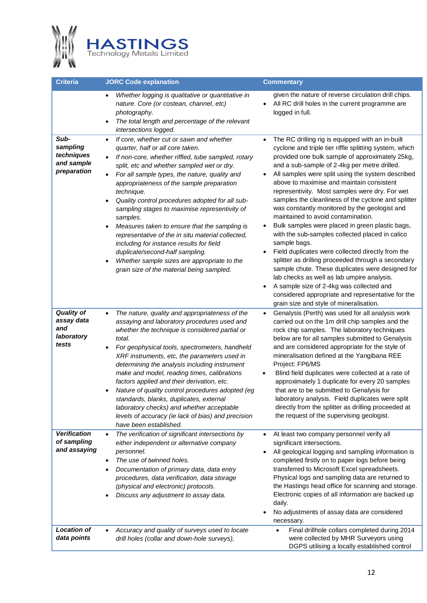

| Criteria                                                      | <b>JORC Code explanation</b>                                                                                                                                                                                                                                                                                                                                                                                                                                                                                                                                                                                                                                                                               | <b>Commentary</b>                                                                                                                                                                                                                                                                                                                                                                                                                                                                                                                                                                                                                                                                                                                                                                                                                                                                                                                                                                                           |
|---------------------------------------------------------------|------------------------------------------------------------------------------------------------------------------------------------------------------------------------------------------------------------------------------------------------------------------------------------------------------------------------------------------------------------------------------------------------------------------------------------------------------------------------------------------------------------------------------------------------------------------------------------------------------------------------------------------------------------------------------------------------------------|-------------------------------------------------------------------------------------------------------------------------------------------------------------------------------------------------------------------------------------------------------------------------------------------------------------------------------------------------------------------------------------------------------------------------------------------------------------------------------------------------------------------------------------------------------------------------------------------------------------------------------------------------------------------------------------------------------------------------------------------------------------------------------------------------------------------------------------------------------------------------------------------------------------------------------------------------------------------------------------------------------------|
|                                                               | Whether logging is qualitative or quantitative in<br>nature. Core (or costean, channel, etc)<br>photography.<br>The total length and percentage of the relevant<br>intersections logged.                                                                                                                                                                                                                                                                                                                                                                                                                                                                                                                   | given the nature of reverse circulation drill chips.<br>All RC drill holes in the current programme are<br>logged in full.                                                                                                                                                                                                                                                                                                                                                                                                                                                                                                                                                                                                                                                                                                                                                                                                                                                                                  |
| Sub-<br>sampling<br>techniques<br>and sample<br>preparation   | If core, whether cut or sawn and whether<br>$\bullet$<br>quarter, half or all core taken.<br>If non-core, whether riffled, tube sampled, rotary<br>split, etc and whether sampled wet or dry.<br>For all sample types, the nature, quality and<br>appropriateness of the sample preparation<br>technique.<br>Quality control procedures adopted for all sub-<br>sampling stages to maximise representivity of<br>samples.<br>Measures taken to ensure that the sampling is<br>representative of the in situ material collected,<br>including for instance results for field<br>duplicate/second-half sampling.<br>Whether sample sizes are appropriate to the<br>grain size of the material being sampled. | The RC drilling rig is equipped with an in-built<br>$\bullet$<br>cyclone and triple tier riffle splitting system, which<br>provided one bulk sample of approximately 25kg,<br>and a sub-sample of 2-4kg per metre drilled.<br>All samples were split using the system described<br>above to maximise and maintain consistent<br>representivity. Most samples were dry. For wet<br>samples the cleanliness of the cyclone and splitter<br>was constantly monitored by the geologist and<br>maintained to avoid contamination.<br>Bulk samples were placed in green plastic bags,<br>with the sub-samples collected placed in calico<br>sample bags.<br>Field duplicates were collected directly from the<br>splitter as drilling proceeded through a secondary<br>sample chute. These duplicates were designed for<br>lab checks as well as lab umpire analysis.<br>A sample size of 2-4kg was collected and<br>considered appropriate and representative for the<br>grain size and style of mineralisation. |
| <b>Quality of</b><br>assay data<br>and<br>laboratory<br>tests | The nature, quality and appropriateness of the<br>assaying and laboratory procedures used and<br>whether the technique is considered partial or<br>total.<br>For geophysical tools, spectrometers, handheld<br>XRF instruments, etc, the parameters used in<br>determining the analysis including instrument<br>make and model, reading times, calibrations<br>factors applied and their derivation, etc.<br>Nature of quality control procedures adopted (eg<br>standards, blanks, duplicates, external<br>laboratory checks) and whether acceptable<br>levels of accuracy (ie lack of bias) and precision<br>have been established.                                                                      | Genalysis (Perth) was used for all analysis work<br>carried out on the 1m drill chip samples and the<br>rock chip samples. The laboratory techniques<br>below are for all samples submitted to Genalysis<br>and are considered appropriate for the style of<br>mineralisation defined at the Yangibana REE<br>Project: FP6/MS<br>Blind field duplicates were collected at a rate of<br>approximately 1 duplicate for every 20 samples<br>that are to be submitted to Genalysis for<br>laboratory analysis. Field duplicates were split<br>directly from the splitter as drilling proceeded at<br>the request of the supervising geologist.                                                                                                                                                                                                                                                                                                                                                                  |
| <b>Verification</b><br>of sampling<br>and assaying            | The verification of significant intersections by<br>either independent or alternative company<br>personnel.<br>The use of twinned holes.<br>Documentation of primary data, data entry<br>procedures, data verification, data storage<br>(physical and electronic) protocols.<br>Discuss any adjustment to assay data.                                                                                                                                                                                                                                                                                                                                                                                      | At least two company personnel verify all<br>$\bullet$<br>significant intersections.<br>All geological logging and sampling information is<br>completed firstly on to paper logs before being<br>transferred to Microsoft Excel spreadsheets.<br>Physical logs and sampling data are returned to<br>the Hastings head office for scanning and storage.<br>Electronic copies of all information are backed up<br>daily.<br>No adjustments of assay data are considered<br>necessary.                                                                                                                                                                                                                                                                                                                                                                                                                                                                                                                         |
| <b>Location of</b><br>data points                             | Accuracy and quality of surveys used to locate<br>$\bullet$<br>drill holes (collar and down-hole surveys),                                                                                                                                                                                                                                                                                                                                                                                                                                                                                                                                                                                                 | Final drillhole collars completed during 2014<br>$\bullet$<br>were collected by MHR Surveyors using<br>DGPS utilising a locally established control                                                                                                                                                                                                                                                                                                                                                                                                                                                                                                                                                                                                                                                                                                                                                                                                                                                         |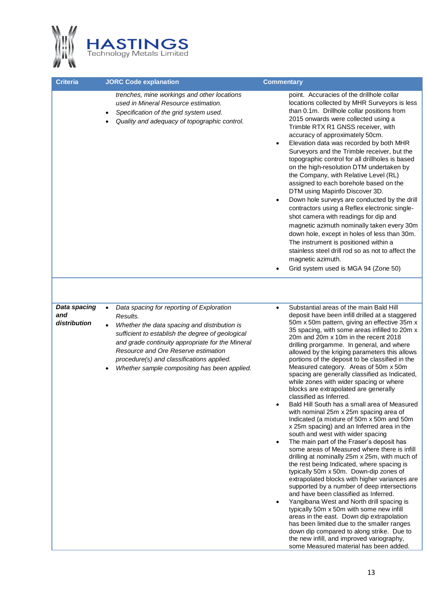

| <b>Criteria</b>                     | <b>JORC Code explanation</b>                                                                                                                                                                                                                                                                                                                                   | <b>Commentary</b>                                                                                                                                                                                                                                                                                                                                                                                                                                                                                                                                                                                                                                                                                                                                                                                                                                                                                                                                                                                                                                                                                                                                                                                                                                                                                                                                                                                                                                                                                                                                         |
|-------------------------------------|----------------------------------------------------------------------------------------------------------------------------------------------------------------------------------------------------------------------------------------------------------------------------------------------------------------------------------------------------------------|-----------------------------------------------------------------------------------------------------------------------------------------------------------------------------------------------------------------------------------------------------------------------------------------------------------------------------------------------------------------------------------------------------------------------------------------------------------------------------------------------------------------------------------------------------------------------------------------------------------------------------------------------------------------------------------------------------------------------------------------------------------------------------------------------------------------------------------------------------------------------------------------------------------------------------------------------------------------------------------------------------------------------------------------------------------------------------------------------------------------------------------------------------------------------------------------------------------------------------------------------------------------------------------------------------------------------------------------------------------------------------------------------------------------------------------------------------------------------------------------------------------------------------------------------------------|
|                                     | trenches, mine workings and other locations<br>used in Mineral Resource estimation.<br>Specification of the grid system used.<br>Quality and adequacy of topographic control.                                                                                                                                                                                  | point. Accuracies of the drillhole collar<br>locations collected by MHR Surveyors is less<br>than 0.1m. Drillhole collar positions from<br>2015 onwards were collected using a<br>Trimble RTX R1 GNSS receiver, with<br>accuracy of approximately 50cm.<br>Elevation data was recorded by both MHR<br>$\bullet$<br>Surveyors and the Trimble receiver, but the<br>topographic control for all drillholes is based<br>on the high-resolution DTM undertaken by<br>the Company, with Relative Level (RL)<br>assigned to each borehole based on the<br>DTM using Mapinfo Discover 3D.<br>Down hole surveys are conducted by the drill<br>$\bullet$<br>contractors using a Reflex electronic single-<br>shot camera with readings for dip and<br>magnetic azimuth nominally taken every 30m<br>down hole, except in holes of less than 30m.<br>The instrument is positioned within a<br>stainless steel drill rod so as not to affect the<br>magnetic azimuth.<br>Grid system used is MGA 94 (Zone 50)                                                                                                                                                                                                                                                                                                                                                                                                                                                                                                                                                        |
|                                     |                                                                                                                                                                                                                                                                                                                                                                |                                                                                                                                                                                                                                                                                                                                                                                                                                                                                                                                                                                                                                                                                                                                                                                                                                                                                                                                                                                                                                                                                                                                                                                                                                                                                                                                                                                                                                                                                                                                                           |
| Data spacing<br>and<br>distribution | Data spacing for reporting of Exploration<br>$\bullet$<br>Results.<br>Whether the data spacing and distribution is<br>sufficient to establish the degree of geological<br>and grade continuity appropriate for the Mineral<br>Resource and Ore Reserve estimation<br>procedure(s) and classifications applied.<br>Whether sample compositing has been applied. | Substantial areas of the main Bald Hill<br>$\bullet$<br>deposit have been infill drilled at a staggered<br>50m x 50m pattern, giving an effective 35m x<br>35 spacing, with some areas infilled to 20m x<br>20m and 20m x 10m in the recent 2018<br>drilling prorgamme. In general, and where<br>allowed by the kriging parameters this allows<br>portions of the deposit to be classified in the<br>Measured category. Areas of 50m x 50m<br>spacing are generally classified as Indicated,<br>while zones with wider spacing or where<br>blocks are extrapolated are generally<br>classified as Inferred.<br>Bald Hill South has a small area of Measured<br>with nominal 25m x 25m spacing area of<br>Indicated (a mixture of 50m x 50m and 50m<br>x 25m spacing) and an Inferred area in the<br>south and west with wider spacing<br>The main part of the Fraser's deposit has<br>$\bullet$<br>some areas of Measured where there is infill<br>drilling at nominally 25m x 25m, with much of<br>the rest being Indicated, where spacing is<br>typically 50m x 50m. Down-dip zones of<br>extrapolated blocks with higher variances are<br>supported by a number of deep intersections<br>and have been classified as Inferred.<br>Yangibana West and North drill spacing is<br>typically 50m x 50m with some new infill<br>areas in the east. Down dip extrapolation<br>has been limited due to the smaller ranges<br>down dip compared to along strike. Due to<br>the new infill, and improved variography,<br>some Measured material has been added. |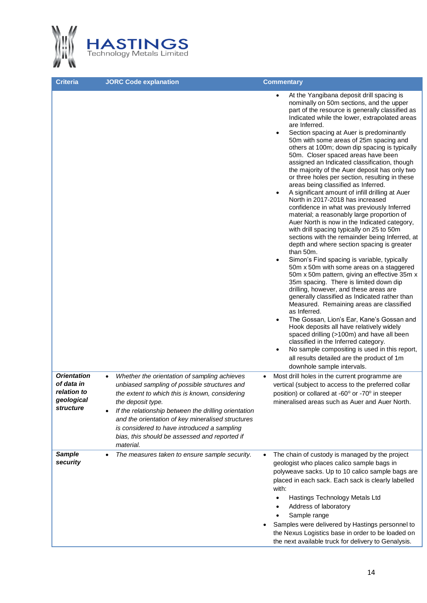

|                                                                            |                                                                                                                                                                                                                                                                                                                                                                                               | At the Yangibana deposit drill spacing is<br>$\bullet$                                                                                                                                                                                                                                                                                                                                                                                                                                                                                                                                                                                                                                                                                                                                                                                                                                                                                                                                                                                                                                                                                                                                                                                                                                                                                                                                                                                                                                                                                                                                                                                                                                                                                                                                                                                                                  |
|----------------------------------------------------------------------------|-----------------------------------------------------------------------------------------------------------------------------------------------------------------------------------------------------------------------------------------------------------------------------------------------------------------------------------------------------------------------------------------------|-------------------------------------------------------------------------------------------------------------------------------------------------------------------------------------------------------------------------------------------------------------------------------------------------------------------------------------------------------------------------------------------------------------------------------------------------------------------------------------------------------------------------------------------------------------------------------------------------------------------------------------------------------------------------------------------------------------------------------------------------------------------------------------------------------------------------------------------------------------------------------------------------------------------------------------------------------------------------------------------------------------------------------------------------------------------------------------------------------------------------------------------------------------------------------------------------------------------------------------------------------------------------------------------------------------------------------------------------------------------------------------------------------------------------------------------------------------------------------------------------------------------------------------------------------------------------------------------------------------------------------------------------------------------------------------------------------------------------------------------------------------------------------------------------------------------------------------------------------------------------|
| <b>Orientation</b><br>of data in<br>relation to<br>geological<br>structure | Whether the orientation of sampling achieves<br>$\bullet$<br>unbiased sampling of possible structures and<br>the extent to which this is known, considering<br>the deposit type.<br>If the relationship between the drilling orientation<br>and the orientation of key mineralised structures<br>is considered to have introduced a sampling<br>bias, this should be assessed and reported if | nominally on 50m sections, and the upper<br>part of the resource is generally classified as<br>Indicated while the lower, extrapolated areas<br>are Inferred.<br>Section spacing at Auer is predominantly<br>$\bullet$<br>50m with some areas of 25m spacing and<br>others at 100m; down dip spacing is typically<br>50m. Closer spaced areas have been<br>assigned an Indicated classification, though<br>the majority of the Auer deposit has only two<br>or three holes per section, resulting in these<br>areas being classified as Inferred.<br>A significant amount of infill drilling at Auer<br>North in 2017-2018 has increased<br>confidence in what was previously Inferred<br>material; a reasonably large proportion of<br>Auer North is now in the Indicated category,<br>with drill spacing typically on 25 to 50m<br>sections with the remainder being Inferred, at<br>depth and where section spacing is greater<br>than 50m.<br>Simon's Find spacing is variable, typically<br>$\bullet$<br>50m x 50m with some areas on a staggered<br>50m x 50m pattern, giving an effective 35m x<br>35m spacing. There is limited down dip<br>drilling, however, and these areas are<br>generally classified as Indicated rather than<br>Measured. Remaining areas are classified<br>as Inferred.<br>The Gossan, Lion's Ear, Kane's Gossan and<br>$\bullet$<br>Hook deposits all have relatively widely<br>spaced drilling (>100m) and have all been<br>classified in the Inferred category.<br>No sample compositing is used in this report,<br>$\bullet$<br>all results detailed are the product of 1m<br>downhole sample intervals.<br>Most drill holes in the current programme are<br>$\bullet$<br>vertical (subject to access to the preferred collar<br>position) or collared at -60° or -70° in steeper<br>mineralised areas such as Auer and Auer North. |
|                                                                            | material.                                                                                                                                                                                                                                                                                                                                                                                     |                                                                                                                                                                                                                                                                                                                                                                                                                                                                                                                                                                                                                                                                                                                                                                                                                                                                                                                                                                                                                                                                                                                                                                                                                                                                                                                                                                                                                                                                                                                                                                                                                                                                                                                                                                                                                                                                         |
| <b>Sample</b><br>security                                                  | The measures taken to ensure sample security.                                                                                                                                                                                                                                                                                                                                                 | The chain of custody is managed by the project<br>٠<br>geologist who places calico sample bags in<br>polyweave sacks. Up to 10 calico sample bags are<br>placed in each sack. Each sack is clearly labelled<br>with:<br>Hastings Technology Metals Ltd<br>Address of laboratory<br>Sample range<br>Samples were delivered by Hastings personnel to<br>the Nexus Logistics base in order to be loaded on                                                                                                                                                                                                                                                                                                                                                                                                                                                                                                                                                                                                                                                                                                                                                                                                                                                                                                                                                                                                                                                                                                                                                                                                                                                                                                                                                                                                                                                                 |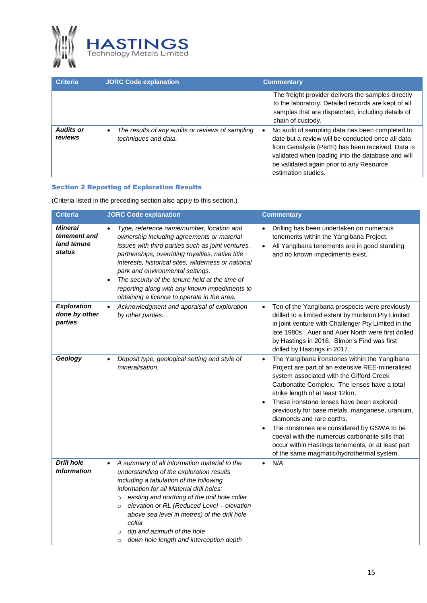

| <b>Criteria</b>             | <b>JORC Code explanation</b>                                                          | <b>Commentary</b>                                                                                                                                                                                                                                                                 |
|-----------------------------|---------------------------------------------------------------------------------------|-----------------------------------------------------------------------------------------------------------------------------------------------------------------------------------------------------------------------------------------------------------------------------------|
|                             |                                                                                       | The freight provider delivers the samples directly<br>to the laboratory. Detailed records are kept of all<br>samples that are dispatched, including details of<br>chain of custody.                                                                                               |
| <b>Audits or</b><br>reviews | The results of any audits or reviews of sampling<br>$\bullet$<br>techniques and data. | No audit of sampling data has been completed to<br>date but a review will be conducted once all data<br>from Genalysis (Perth) has been received. Data is<br>validated when loading into the database and will<br>be validated again prior to any Resource<br>estimation studies. |

#### Section 2 Reporting of Exploration Results

(Criteria listed in the preceding section also apply to this section.)

| <b>Criteria</b>                                         | <b>JORC Code explanation</b>                                                                                                                                                                                                                                                                                                                                                                                                                                                 | <b>Commentary</b>                                                                                                                                                                                                                                                                                                                                                                                                                                                                                                                                                              |
|---------------------------------------------------------|------------------------------------------------------------------------------------------------------------------------------------------------------------------------------------------------------------------------------------------------------------------------------------------------------------------------------------------------------------------------------------------------------------------------------------------------------------------------------|--------------------------------------------------------------------------------------------------------------------------------------------------------------------------------------------------------------------------------------------------------------------------------------------------------------------------------------------------------------------------------------------------------------------------------------------------------------------------------------------------------------------------------------------------------------------------------|
| <b>Mineral</b><br>tenement and<br>land tenure<br>status | Type, reference name/number, location and<br>ownership including agreements or material<br>issues with third parties such as joint ventures,<br>partnerships, overriding royalties, native title<br>interests, historical sites, wilderness or national<br>park and environmental settings.<br>The security of the tenure held at the time of<br>$\bullet$<br>reporting along with any known impediments to<br>obtaining a licence to operate in the area.                   | Drilling has been undertaken on numerous<br>tenements within the Yangibana Project.<br>All Yangibana tenements are in good standing<br>and no known impediments exist.                                                                                                                                                                                                                                                                                                                                                                                                         |
| <b>Exploration</b><br>done by other<br>parties          | Acknowledgment and appraisal of exploration<br>$\bullet$<br>by other parties.                                                                                                                                                                                                                                                                                                                                                                                                | Ten of the Yangibana prospects were previously<br>$\bullet$<br>drilled to a limited extent by Hurlston Pty Limited<br>in joint venture with Challenger Pty Limited in the<br>late 1980s. Auer and Auer North were first drilled<br>by Hastings in 2016. Simon's Find was first<br>drilled by Hastings in 2017.                                                                                                                                                                                                                                                                 |
| Geology                                                 | Deposit type, geological setting and style of<br>mineralisation.                                                                                                                                                                                                                                                                                                                                                                                                             | The Yangibana ironstones within the Yangibana<br>Project are part of an extensive REE-mineralised<br>system associated with the Gifford Creek<br>Carbonatite Complex. The lenses have a total<br>strike length of at least 12km.<br>These ironstone lenses have been explored<br>$\bullet$<br>previously for base metals, manganese, uranium,<br>diamonds and rare earths.<br>The ironstones are considered by GSWA to be<br>coeval with the numerous carbonatite sills that<br>occur within Hastings tenements, or at least part<br>of the same magmatic/hydrothermal system. |
| <b>Drill hole</b><br><i><b>Information</b></i>          | A summary of all information material to the<br>$\bullet$<br>understanding of the exploration results<br>including a tabulation of the following<br>information for all Material drill holes:<br>easting and northing of the drill hole collar<br>$\circ$<br>elevation or RL (Reduced Level - elevation<br>$\circ$<br>above sea level in metres) of the drill hole<br>collar<br>dip and azimuth of the hole<br>$\circ$<br>down hole length and interception depth<br>$\circ$ | N/A<br>$\bullet$                                                                                                                                                                                                                                                                                                                                                                                                                                                                                                                                                               |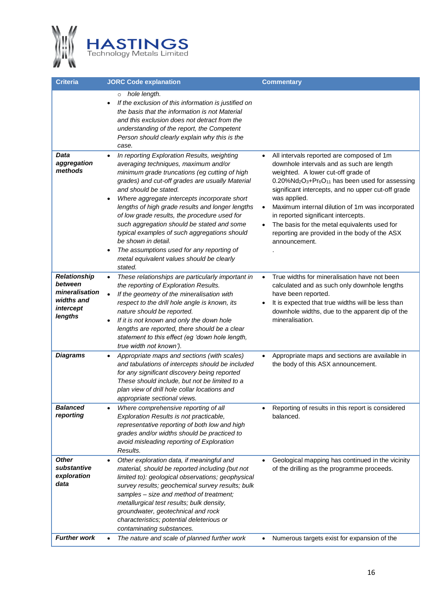

| Criteria                                                                               | <b>JORC Code explanation</b>                                                                                                                                                                                                                                                                                                                                                                                                                                                                                                                                                                                                          | <b>Commentary</b>                                                                                                                                                                                                                                                                                                                                                                                                                                                                                                                                              |
|----------------------------------------------------------------------------------------|---------------------------------------------------------------------------------------------------------------------------------------------------------------------------------------------------------------------------------------------------------------------------------------------------------------------------------------------------------------------------------------------------------------------------------------------------------------------------------------------------------------------------------------------------------------------------------------------------------------------------------------|----------------------------------------------------------------------------------------------------------------------------------------------------------------------------------------------------------------------------------------------------------------------------------------------------------------------------------------------------------------------------------------------------------------------------------------------------------------------------------------------------------------------------------------------------------------|
|                                                                                        | hole length.<br>$\circ$<br>If the exclusion of this information is justified on<br>$\bullet$<br>the basis that the information is not Material<br>and this exclusion does not detract from the<br>understanding of the report, the Competent<br>Person should clearly explain why this is the<br>case.                                                                                                                                                                                                                                                                                                                                |                                                                                                                                                                                                                                                                                                                                                                                                                                                                                                                                                                |
| Data<br>aggregation<br>methods                                                         | In reporting Exploration Results, weighting<br>$\bullet$<br>averaging techniques, maximum and/or<br>minimum grade truncations (eg cutting of high<br>grades) and cut-off grades are usually Material<br>and should be stated.<br>Where aggregate intercepts incorporate short<br>$\bullet$<br>lengths of high grade results and longer lengths<br>of low grade results, the procedure used for<br>such aggregation should be stated and some<br>typical examples of such aggregations should<br>be shown in detail.<br>The assumptions used for any reporting of<br>$\bullet$<br>metal equivalent values should be clearly<br>stated. | All intervals reported are composed of 1m<br>$\bullet$<br>downhole intervals and as such are length<br>weighted. A lower cut-off grade of<br>$0.20\%$ Nd <sub>2</sub> O <sub>3</sub> +Pr <sub>6</sub> O <sub>11</sub> has been used for assessing<br>significant intercepts, and no upper cut-off grade<br>was applied.<br>Maximum internal dilution of 1m was incorporated<br>$\bullet$<br>in reported significant intercepts.<br>The basis for the metal equivalents used for<br>$\bullet$<br>reporting are provided in the body of the ASX<br>announcement. |
| <b>Relationship</b><br>between<br>mineralisation<br>widths and<br>intercept<br>lengths | These relationships are particularly important in<br>$\bullet$<br>the reporting of Exploration Results.<br>If the geometry of the mineralisation with<br>$\bullet$<br>respect to the drill hole angle is known, its<br>nature should be reported.<br>If it is not known and only the down hole<br>٠<br>lengths are reported, there should be a clear<br>statement to this effect (eg 'down hole length,<br>true width not known').                                                                                                                                                                                                    | True widths for mineralisation have not been<br>$\bullet$<br>calculated and as such only downhole lengths<br>have been reported.<br>It is expected that true widths will be less than<br>downhole widths, due to the apparent dip of the<br>mineralisation.                                                                                                                                                                                                                                                                                                    |
| <b>Diagrams</b>                                                                        | Appropriate maps and sections (with scales)<br>$\bullet$<br>and tabulations of intercepts should be included<br>for any significant discovery being reported<br>These should include, but not be limited to a<br>plan view of drill hole collar locations and<br>appropriate sectional views.                                                                                                                                                                                                                                                                                                                                         | Appropriate maps and sections are available in<br>$\bullet$<br>the body of this ASX announcement.                                                                                                                                                                                                                                                                                                                                                                                                                                                              |
| <b>Balanced</b><br>reporting                                                           | Where comprehensive reporting of all<br>٠<br>Exploration Results is not practicable,<br>representative reporting of both low and high<br>grades and/or widths should be practiced to<br>avoid misleading reporting of Exploration<br>Results.                                                                                                                                                                                                                                                                                                                                                                                         | Reporting of results in this report is considered<br>balanced.                                                                                                                                                                                                                                                                                                                                                                                                                                                                                                 |
| <b>Other</b><br>substantive<br>exploration<br>data<br><b>Further work</b>              | Other exploration data, if meaningful and<br>٠<br>material, should be reported including (but not<br>limited to): geological observations; geophysical<br>survey results; geochemical survey results; bulk<br>samples - size and method of treatment;<br>metallurgical test results; bulk density,<br>groundwater, geotechnical and rock<br>characteristics; potential deleterious or<br>contaminating substances.                                                                                                                                                                                                                    | Geological mapping has continued in the vicinity<br>of the drilling as the programme proceeds.                                                                                                                                                                                                                                                                                                                                                                                                                                                                 |
|                                                                                        | The nature and scale of planned further work<br>$\bullet$                                                                                                                                                                                                                                                                                                                                                                                                                                                                                                                                                                             | Numerous targets exist for expansion of the                                                                                                                                                                                                                                                                                                                                                                                                                                                                                                                    |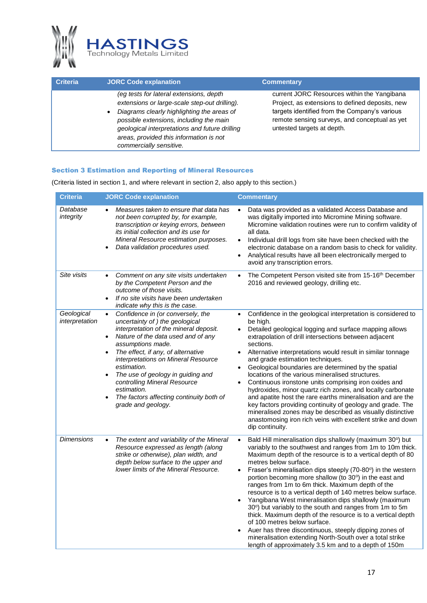

| <b>Criteria</b> | <b>JORC Code explanation</b>                                                                                                                                                                                                                                                                              | <b>Commentary</b>                                                                                                                                                                                                              |
|-----------------|-----------------------------------------------------------------------------------------------------------------------------------------------------------------------------------------------------------------------------------------------------------------------------------------------------------|--------------------------------------------------------------------------------------------------------------------------------------------------------------------------------------------------------------------------------|
|                 | (eg tests for lateral extensions, depth<br>extensions or large-scale step-out drilling).<br>Diagrams clearly highlighting the areas of<br>possible extensions, including the main<br>geological interpretations and future drilling<br>areas, provided this information is not<br>commercially sensitive. | current JORC Resources within the Yangibana<br>Project, as extensions to defined deposits, new<br>targets identified from the Company's various<br>remote sensing surveys, and conceptual as yet<br>untested targets at depth. |

#### Section 3 Estimation and Reporting of Mineral Resources

(Criteria listed in section 1, and where relevant in section 2, also apply to this section.)

| Criteria                     | <b>JORC Code explanation</b>                                                                                                                                                                                                                                                                                                                                                                                                                                                                 | <b>Commentary</b>                                                                                                                                                                                                                                                                                                                                                                                                                                                                                                                                                                                                                                                                                                                                                                                                                                                                        |
|------------------------------|----------------------------------------------------------------------------------------------------------------------------------------------------------------------------------------------------------------------------------------------------------------------------------------------------------------------------------------------------------------------------------------------------------------------------------------------------------------------------------------------|------------------------------------------------------------------------------------------------------------------------------------------------------------------------------------------------------------------------------------------------------------------------------------------------------------------------------------------------------------------------------------------------------------------------------------------------------------------------------------------------------------------------------------------------------------------------------------------------------------------------------------------------------------------------------------------------------------------------------------------------------------------------------------------------------------------------------------------------------------------------------------------|
| Database<br>integrity        | Measures taken to ensure that data has<br>not been corrupted by, for example,<br>transcription or keying errors, between<br>its initial collection and its use for<br>Mineral Resource estimation purposes.<br>Data validation procedures used.<br>$\bullet$                                                                                                                                                                                                                                 | Data was provided as a validated Access Database and<br>$\bullet$<br>was digitally imported into Micromine Mining software.<br>Micromine validation routines were run to confirm validity of<br>all data.<br>Individual drill logs from site have been checked with the<br>electronic database on a random basis to check for validity.<br>Analytical results have all been electronically merged to<br>avoid any transcription errors.                                                                                                                                                                                                                                                                                                                                                                                                                                                  |
| Site visits                  | Comment on any site visits undertaken<br>$\bullet$<br>by the Competent Person and the<br>outcome of those visits.<br>If no site visits have been undertaken<br>$\bullet$<br>indicate why this is the case.                                                                                                                                                                                                                                                                                   | The Competent Person visited site from 15-16 <sup>th</sup> December<br>$\bullet$<br>2016 and reviewed geology, drilling etc.                                                                                                                                                                                                                                                                                                                                                                                                                                                                                                                                                                                                                                                                                                                                                             |
| Geological<br>interpretation | Confidence in (or conversely, the<br>$\bullet$<br>uncertainty of ) the geological<br>interpretation of the mineral deposit.<br>Nature of the data used and of any<br>$\bullet$<br>assumptions made.<br>The effect, if any, of alternative<br>$\bullet$<br>interpretations on Mineral Resource<br>estimation.<br>The use of geology in guiding and<br>$\bullet$<br>controlling Mineral Resource<br>estimation.<br>The factors affecting continuity both of<br>$\bullet$<br>grade and geology. | Confidence in the geological interpretation is considered to<br>$\bullet$<br>be high.<br>Detailed geological logging and surface mapping allows<br>extrapolation of drill intersections between adjacent<br>sections.<br>Alternative interpretations would result in similar tonnage<br>$\bullet$<br>and grade estimation techniques.<br>Geological boundaries are determined by the spatial<br>locations of the various mineralised structures.<br>Continuous ironstone units comprising iron oxides and<br>hydroxides, minor quartz rich zones, and locally carbonate<br>and apatite host the rare earths mineralisation and are the<br>key factors providing continuity of geology and grade. The<br>mineralised zones may be described as visually distinctive<br>anastomosing iron rich veins with excellent strike and down<br>dip continuity.                                     |
| <b>Dimensions</b>            | The extent and variability of the Mineral<br>$\bullet$<br>Resource expressed as length (along<br>strike or otherwise), plan width, and<br>depth below surface to the upper and<br>lower limits of the Mineral Resource.                                                                                                                                                                                                                                                                      | Bald Hill mineralisation dips shallowly (maximum 30°) but<br>$\bullet$<br>variably to the southwest and ranges from 1m to 10m thick.<br>Maximum depth of the resource is to a vertical depth of 80<br>metres below surface.<br>Fraser's mineralisation dips steeply (70-80°) in the western<br>portion becoming more shallow (to 30°) in the east and<br>ranges from 1m to 6m thick. Maximum depth of the<br>resource is to a vertical depth of 140 metres below surface.<br>Yangibana West mineralisation dips shallowly (maximum<br>$\bullet$<br>30°) but variably to the south and ranges from 1m to 5m<br>thick. Maximum depth of the resource is to a vertical depth<br>of 100 metres below surface.<br>Auer has three discontinuous, steeply dipping zones of<br>mineralisation extending North-South over a total strike<br>length of approximately 3.5 km and to a depth of 150m |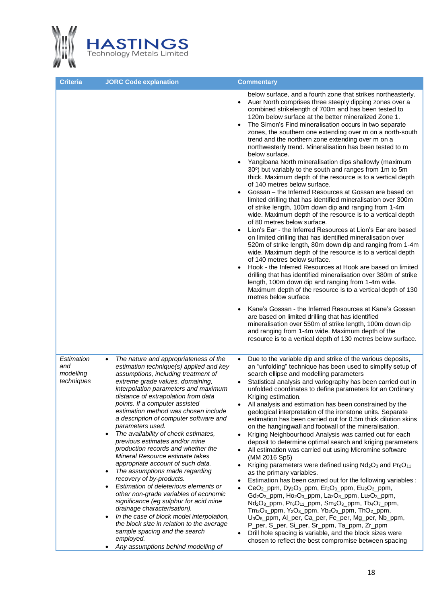

| <b>Criteria</b>                              | <b>JORC Code explanation</b>                                                                                                                                                                                                                                                                                                                                                                                                                                                                                                                                                                                                                                                                                                                                                                                                                                                                                                                                                                                                                     | <b>Commentary</b>                                                                                                                                                                                                                                                                                                                                                                                                                                                                                                                                                                                                                                                                                                                                                                                                                                                                                                                                                                                                                                                                                                                                                                                                                                                                                                                                                                                                                                                                                                                                                                                                                                                                                                                                                                                                                                                             |
|----------------------------------------------|--------------------------------------------------------------------------------------------------------------------------------------------------------------------------------------------------------------------------------------------------------------------------------------------------------------------------------------------------------------------------------------------------------------------------------------------------------------------------------------------------------------------------------------------------------------------------------------------------------------------------------------------------------------------------------------------------------------------------------------------------------------------------------------------------------------------------------------------------------------------------------------------------------------------------------------------------------------------------------------------------------------------------------------------------|-------------------------------------------------------------------------------------------------------------------------------------------------------------------------------------------------------------------------------------------------------------------------------------------------------------------------------------------------------------------------------------------------------------------------------------------------------------------------------------------------------------------------------------------------------------------------------------------------------------------------------------------------------------------------------------------------------------------------------------------------------------------------------------------------------------------------------------------------------------------------------------------------------------------------------------------------------------------------------------------------------------------------------------------------------------------------------------------------------------------------------------------------------------------------------------------------------------------------------------------------------------------------------------------------------------------------------------------------------------------------------------------------------------------------------------------------------------------------------------------------------------------------------------------------------------------------------------------------------------------------------------------------------------------------------------------------------------------------------------------------------------------------------------------------------------------------------------------------------------------------------|
|                                              |                                                                                                                                                                                                                                                                                                                                                                                                                                                                                                                                                                                                                                                                                                                                                                                                                                                                                                                                                                                                                                                  | below surface, and a fourth zone that strikes northeasterly.<br>Auer North comprises three steeply dipping zones over a<br>combined strikelength of 700m and has been tested to<br>120m below surface at the better mineralized Zone 1.<br>The Simon's Find mineralisation occurs in two separate<br>zones, the southern one extending over m on a north-south<br>trend and the northern zone extending over m on a<br>northwesterly trend. Mineralisation has been tested to m<br>below surface.<br>Yangibana North mineralisation dips shallowly (maximum<br>30°) but variably to the south and ranges from 1m to 5m<br>thick. Maximum depth of the resource is to a vertical depth<br>of 140 metres below surface.<br>Gossan - the Inferred Resources at Gossan are based on<br>limited drilling that has identified mineralisation over 300m<br>of strike length, 100m down dip and ranging from 1-4m<br>wide. Maximum depth of the resource is to a vertical depth<br>of 80 metres below surface.<br>Lion's Ear - the Inferred Resources at Lion's Ear are based<br>on limited drilling that has identified mineralisation over<br>520m of strike length, 80m down dip and ranging from 1-4m<br>wide. Maximum depth of the resource is to a vertical depth<br>of 140 metres below surface.<br>Hook - the Inferred Resources at Hook are based on limited<br>drilling that has identified mineralisation over 380m of strike<br>length, 100m down dip and ranging from 1-4m wide.<br>Maximum depth of the resource is to a vertical depth of 130<br>metres below surface.<br>Kane's Gossan - the Inferred Resources at Kane's Gossan<br>are based on limited drilling that has identified<br>mineralisation over 550m of strike length, 100m down dip<br>and ranging from 1-4m wide. Maximum depth of the<br>resource is to a vertical depth of 130 metres below surface. |
| Estimation<br>and<br>modelling<br>techniques | The nature and appropriateness of the<br>$\bullet$<br>estimation technique(s) applied and key<br>assumptions, including treatment of<br>extreme grade values, domaining,<br>interpolation parameters and maximum<br>distance of extrapolation from data<br>points. If a computer assisted<br>estimation method was chosen include<br>a description of computer software and<br>parameters used.<br>The availability of check estimates,<br>$\bullet$<br>previous estimates and/or mine<br>production records and whether the<br>Mineral Resource estimate takes<br>appropriate account of such data.<br>The assumptions made regarding<br>$\bullet$<br>recovery of by-products.<br>Estimation of deleterious elements or<br>٠<br>other non-grade variables of economic<br>significance (eg sulphur for acid mine<br>drainage characterisation).<br>In the case of block model interpolation,<br>$\bullet$<br>the block size in relation to the average<br>sample spacing and the search<br>employed.<br>Any assumptions behind modelling of<br>٠ | Due to the variable dip and strike of the various deposits,<br>$\bullet$<br>an "unfolding" technique has been used to simplify setup of<br>search ellipse and modelling parameters<br>Statistical analysis and variography has been carried out in<br>unfolded coordinates to define parameters for an Ordinary<br>Kriging estimation.<br>All analysis and estimation has been constrained by the<br>geological interpretation of the ironstone units. Separate<br>estimation has been carried out for 0.5m thick dilution skins<br>on the hangingwall and footwall of the mineralisation.<br>Kriging Neighbourhood Analysis was carried out for each<br>deposit to determine optimal search and kriging parameters<br>All estimation was carried out using Micromine software<br>(MM 2016 Sp5)<br>Kriging parameters were defined using $Nd_2O_3$ and $Pr_6O_{11}$<br>as the primary variables.<br>Estimation has been carried out for the following variables :<br>CeO <sub>2</sub> _ppm, Dy <sub>2</sub> O <sub>3</sub> _ppm, Er <sub>2</sub> O <sub>3</sub> _ppm, Eu <sub>2</sub> O <sub>3</sub> _ppm,<br>Gd <sub>2</sub> O <sub>3</sub> _ppm, Ho <sub>2</sub> O <sub>3</sub> _ppm, La <sub>2</sub> O <sub>3</sub> _ppm, Lu <sub>2</sub> O <sub>3</sub> _ppm,<br>Nd <sub>2</sub> O <sub>3</sub> _ppm, Pr <sub>6</sub> O <sub>11</sub> _ppm, Sm <sub>2</sub> O <sub>3</sub> _ppm, Tb <sub>4</sub> O <sub>7</sub> _ppm,<br>Tm <sub>2</sub> O <sub>3</sub> _ppm, Y <sub>2</sub> O <sub>3</sub> _ppm, Yb <sub>2</sub> O <sub>3</sub> _ppm, ThO <sub>2</sub> _ppm,<br>U <sub>3</sub> O <sub>8</sub> _ppm, Al_per, Ca_per, Fe_per, Mg_per, Nb_ppm,<br>P_per, S_per, Si_per, Sr_ppm, Ta_ppm, Zr_ppm<br>Drill hole spacing is variable, and the block sizes were<br>chosen to reflect the best compromise between spacing                                                         |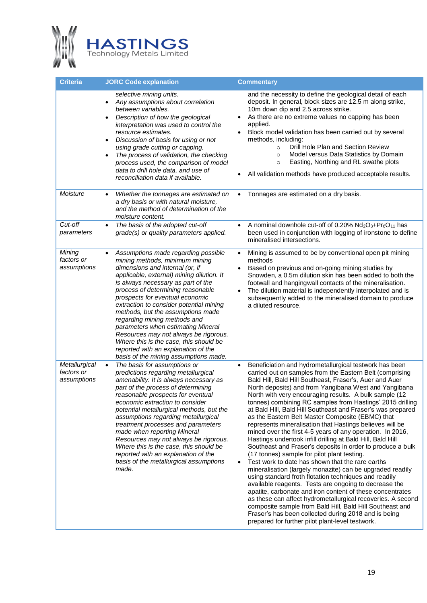

| <b>Criteria</b>                            | <b>JORC Code explanation</b>                                                                                                                                                                                                                                                                                                                                                                                                                                                                                                                                                                              | <b>Commentary</b>                                                                                                                                                                                                                                                                                                                                                                                                                                                                                                                                                                                                                                                                                                                                                                                                                                                                                                                                                                                                                                                                                                                                                                                                                                                                                                           |
|--------------------------------------------|-----------------------------------------------------------------------------------------------------------------------------------------------------------------------------------------------------------------------------------------------------------------------------------------------------------------------------------------------------------------------------------------------------------------------------------------------------------------------------------------------------------------------------------------------------------------------------------------------------------|-----------------------------------------------------------------------------------------------------------------------------------------------------------------------------------------------------------------------------------------------------------------------------------------------------------------------------------------------------------------------------------------------------------------------------------------------------------------------------------------------------------------------------------------------------------------------------------------------------------------------------------------------------------------------------------------------------------------------------------------------------------------------------------------------------------------------------------------------------------------------------------------------------------------------------------------------------------------------------------------------------------------------------------------------------------------------------------------------------------------------------------------------------------------------------------------------------------------------------------------------------------------------------------------------------------------------------|
|                                            | selective mining units.<br>Any assumptions about correlation<br>$\bullet$<br>between variables.<br>Description of how the geological<br>$\bullet$<br>interpretation was used to control the<br>resource estimates.<br>Discussion of basis for using or not<br>$\bullet$<br>using grade cutting or capping.<br>The process of validation, the checking<br>$\bullet$<br>process used, the comparison of model<br>data to drill hole data, and use of<br>reconciliation data if available.                                                                                                                   | and the necessity to define the geological detail of each<br>deposit. In general, block sizes are 12.5 m along strike,<br>10m down dip and 2.5 across strike.<br>As there are no extreme values no capping has been<br>$\bullet$<br>applied.<br>Block model validation has been carried out by several<br>methods, including:<br>Drill Hole Plan and Section Review<br>$\circ$<br>Model versus Data Statistics by Domain<br>$\circ$<br>Easting, Northing and RL swathe plots<br>$\circ$<br>All validation methods have produced acceptable results.                                                                                                                                                                                                                                                                                                                                                                                                                                                                                                                                                                                                                                                                                                                                                                         |
| Moisture                                   | Whether the tonnages are estimated on<br>$\bullet$<br>a dry basis or with natural moisture,<br>and the method of determination of the<br>moisture content.                                                                                                                                                                                                                                                                                                                                                                                                                                                | Tonnages are estimated on a dry basis.<br>$\bullet$                                                                                                                                                                                                                                                                                                                                                                                                                                                                                                                                                                                                                                                                                                                                                                                                                                                                                                                                                                                                                                                                                                                                                                                                                                                                         |
| Cut-off<br>parameters                      | The basis of the adopted cut-off<br>$\bullet$<br>grade(s) or quality parameters applied.                                                                                                                                                                                                                                                                                                                                                                                                                                                                                                                  | A nominal downhole cut-off of 0.20% Nd <sub>2</sub> O <sub>3</sub> +Pr <sub>6</sub> O <sub>11</sub> has<br>$\bullet$<br>been used in conjunction with logging of ironstone to define<br>mineralised intersections.                                                                                                                                                                                                                                                                                                                                                                                                                                                                                                                                                                                                                                                                                                                                                                                                                                                                                                                                                                                                                                                                                                          |
| Mining<br>factors or<br>assumptions        | Assumptions made regarding possible<br>$\bullet$<br>mining methods, minimum mining<br>dimensions and internal (or, if<br>applicable, external) mining dilution. It<br>is always necessary as part of the<br>process of determining reasonable<br>prospects for eventual economic<br>extraction to consider potential mining<br>methods, but the assumptions made<br>regarding mining methods and<br>parameters when estimating Mineral<br>Resources may not always be rigorous.<br>Where this is the case, this should be<br>reported with an explanation of the<br>basis of the mining assumptions made. | Mining is assumed to be by conventional open pit mining<br>$\bullet$<br>methods<br>Based on previous and on-going mining studies by<br>$\bullet$<br>Snowden, a 0.5m dilution skin has been added to both the<br>footwall and hangingwall contacts of the mineralisation.<br>The dilution material is independently interpolated and is<br>$\bullet$<br>subsequently added to the mineralised domain to produce<br>a diluted resource.                                                                                                                                                                                                                                                                                                                                                                                                                                                                                                                                                                                                                                                                                                                                                                                                                                                                                       |
| Metallurgical<br>factors or<br>assumptions | The basis for assumptions or<br>$\bullet$<br>predictions regarding metallurgical<br>amenability. It is always necessary as<br>part of the process of determining<br>reasonable prospects for eventual<br>economic extraction to consider<br>potential metallurgical methods, but the<br>assumptions regarding metallurgical<br>treatment processes and parameters<br>made when reporting Mineral<br>Resources may not always be rigorous.<br>Where this is the case, this should be<br>reported with an explanation of the<br>basis of the metallurgical assumptions<br>made.                             | Beneficiation and hydrometallurgical testwork has been<br>carried out on samples from the Eastern Belt (comprising<br>Bald Hill, Bald Hill Southeast, Fraser's, Auer and Auer<br>North deposits) and from Yangibana West and Yangibana<br>North with very encouraging results. A bulk sample (12<br>tonnes) combining RC samples from Hastings' 2015 drilling<br>at Bald Hill, Bald Hill Southeast and Fraser's was prepared<br>as the Eastern Belt Master Composite (EBMC) that<br>represents mineralisation that Hastings believes will be<br>mined over the first 4-5 years of any operation. In 2016,<br>Hastings undertook infill drilling at Bald Hill, Bald Hill<br>Southeast and Fraser's deposits in order to produce a bulk<br>(17 tonnes) sample for pilot plant testing.<br>Test work to date has shown that the rare earths<br>mineralisation (largely monazite) can be upgraded readily<br>using standard froth flotation techniques and readily<br>available reagents. Tests are ongoing to decrease the<br>apatite, carbonate and iron content of these concentrates<br>as these can affect hydrometallurgical recoveries. A second<br>composite sample from Bald Hill, Bald Hill Southeast and<br>Fraser's has been collected during 2018 and is being<br>prepared for further pilot plant-level testwork. |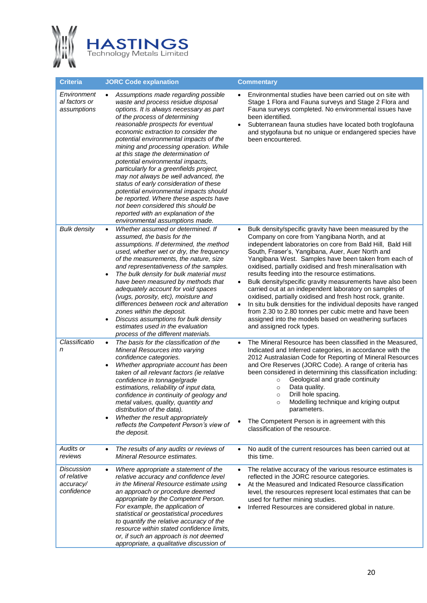

| Criteria                                             | <b>JORC Code explanation</b>                                                                                                                                                                                                                                                                                                                                                                                                                                                                                                                                                                                                                                                                                                                 | <b>Commentary</b>                                                                                                                                                                                                                                                                                                                                                                                                                                                                                                                                                                                                                                                                                                                                                                                                                              |
|------------------------------------------------------|----------------------------------------------------------------------------------------------------------------------------------------------------------------------------------------------------------------------------------------------------------------------------------------------------------------------------------------------------------------------------------------------------------------------------------------------------------------------------------------------------------------------------------------------------------------------------------------------------------------------------------------------------------------------------------------------------------------------------------------------|------------------------------------------------------------------------------------------------------------------------------------------------------------------------------------------------------------------------------------------------------------------------------------------------------------------------------------------------------------------------------------------------------------------------------------------------------------------------------------------------------------------------------------------------------------------------------------------------------------------------------------------------------------------------------------------------------------------------------------------------------------------------------------------------------------------------------------------------|
| Environment<br>al factors or<br>assumptions          | Assumptions made regarding possible<br>$\bullet$<br>waste and process residue disposal<br>options. It is always necessary as part<br>of the process of determining<br>reasonable prospects for eventual<br>economic extraction to consider the<br>potential environmental impacts of the<br>mining and processing operation. While<br>at this stage the determination of<br>potential environmental impacts,<br>particularly for a greenfields project,<br>may not always be well advanced, the<br>status of early consideration of these<br>potential environmental impacts should<br>be reported. Where these aspects have<br>not been considered this should be<br>reported with an explanation of the<br>environmental assumptions made. | Environmental studies have been carried out on site with<br>Stage 1 Flora and Fauna surveys and Stage 2 Flora and<br>Fauna surveys completed. No environmental issues have<br>been identified.<br>Subterranean fauna studies have located both troglofauna<br>$\bullet$<br>and stygofauna but no unique or endangered species have<br>been encountered.                                                                                                                                                                                                                                                                                                                                                                                                                                                                                        |
| <b>Bulk density</b>                                  | Whether assumed or determined. If<br>$\bullet$<br>assumed, the basis for the<br>assumptions. If determined, the method<br>used, whether wet or dry, the frequency<br>of the measurements, the nature, size<br>and representativeness of the samples.<br>The bulk density for bulk material must<br>$\bullet$<br>have been measured by methods that<br>adequately account for void spaces<br>(vugs, porosity, etc), moisture and<br>differences between rock and alteration<br>zones within the deposit.<br>Discuss assumptions for bulk density<br>٠<br>estimates used in the evaluation<br>process of the different materials.                                                                                                              | Bulk density/specific gravity have been measured by the<br>$\bullet$<br>Company on core from Yangibana North, and at<br>independent laboratories on core from Bald Hill, Bald Hill<br>South, Fraser's, Yangibana, Auer, Auer North and<br>Yangibana West. Samples have been taken from each of<br>oxidised, partially oxidised and fresh mineralisation with<br>results feeding into the resource estimations.<br>Bulk density/specific gravity measurements have also been<br>$\bullet$<br>carried out at an independent laboratory on samples of<br>oxidised, partially oxidised and fresh host rock, granite.<br>In situ bulk densities for the individual deposits have ranged<br>$\bullet$<br>from 2.30 to 2.80 tonnes per cubic metre and have been<br>assigned into the models based on weathering surfaces<br>and assigned rock types. |
| Classificatio<br>n                                   | The basis for the classification of the<br>$\bullet$<br>Mineral Resources into varying<br>confidence categories.<br>Whether appropriate account has been<br>$\bullet$<br>taken of all relevant factors (ie relative<br>confidence in tonnage/grade<br>estimations, reliability of input data,<br>confidence in continuity of geology and<br>metal values, quality, quantity and<br>distribution of the data).<br>Whether the result appropriately<br>$\bullet$<br>reflects the Competent Person's view of<br>the deposit.                                                                                                                                                                                                                    | The Mineral Resource has been classified in the Measured,<br>Indicated and Inferred categories, in accordance with the<br>2012 Australasian Code for Reporting of Mineral Resources<br>and Ore Reserves (JORC Code). A range of criteria has<br>been considered in determining this classification including:<br>Geological and grade continuity<br>$\circ$<br>Data quality.<br>$\circ$<br>Drill hole spacing.<br>$\circ$<br>Modelling technique and kriging output<br>$\circ$<br>parameters.<br>The Competent Person is in agreement with this<br>classification of the resource.                                                                                                                                                                                                                                                             |
| Audits or<br>reviews                                 | The results of any audits or reviews of<br>$\bullet$<br>Mineral Resource estimates.                                                                                                                                                                                                                                                                                                                                                                                                                                                                                                                                                                                                                                                          | No audit of the current resources has been carried out at<br>$\bullet$<br>this time.                                                                                                                                                                                                                                                                                                                                                                                                                                                                                                                                                                                                                                                                                                                                                           |
| Discussion<br>of relative<br>accuracy/<br>confidence | Where appropriate a statement of the<br>$\bullet$<br>relative accuracy and confidence level<br>in the Mineral Resource estimate using<br>an approach or procedure deemed<br>appropriate by the Competent Person.<br>For example, the application of<br>statistical or geostatistical procedures<br>to quantify the relative accuracy of the<br>resource within stated confidence limits,<br>or, if such an approach is not deemed<br>appropriate, a qualitative discussion of                                                                                                                                                                                                                                                                | The relative accuracy of the various resource estimates is<br>$\bullet$<br>reflected in the JORC resource categories.<br>At the Measured and Indicated Resource classification<br>level, the resources represent local estimates that can be<br>used for further mining studies.<br>Inferred Resources are considered global in nature.                                                                                                                                                                                                                                                                                                                                                                                                                                                                                                        |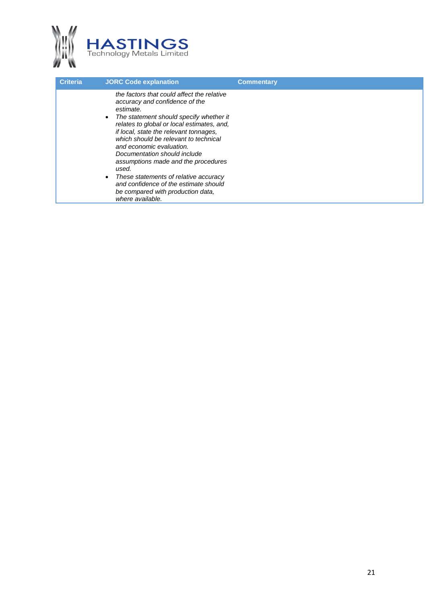

| <b>Criteria</b> | <b>JORC Code explanation</b>                                                                                                                                                                                                                                                                                                                                                                                                                                                                                                 | <b>Commentary</b> |
|-----------------|------------------------------------------------------------------------------------------------------------------------------------------------------------------------------------------------------------------------------------------------------------------------------------------------------------------------------------------------------------------------------------------------------------------------------------------------------------------------------------------------------------------------------|-------------------|
|                 | the factors that could affect the relative<br>accuracy and confidence of the<br>estimate.<br>The statement should specify whether it<br>relates to global or local estimates, and,<br>if local, state the relevant tonnages,<br>which should be relevant to technical<br>and economic evaluation.<br>Documentation should include<br>assumptions made and the procedures<br>used.<br>These statements of relative accuracy<br>and confidence of the estimate should<br>be compared with production data,<br>where available. |                   |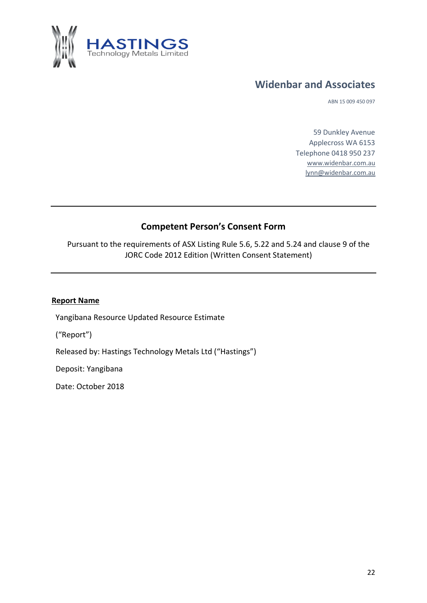

## **Widenbar and Associates**

ABN 15 009 450 097

59 Dunkley Avenue Applecross WA 6153 Telephone 0418 950 237 [www.widenbar.com.au](http://www.widenbar.com.au/) [lynn@widenbar.com.au](mailto:lynn@widenbar.com.au)

## **Competent Person's Consent Form**

Pursuant to the requirements of ASX Listing Rule 5.6, 5.22 and 5.24 and clause 9 of the JORC Code 2012 Edition (Written Consent Statement)

#### **Report Name**

Yangibana Resource Updated Resource Estimate

("Report")

Released by: Hastings Technology Metals Ltd ("Hastings")

Deposit: Yangibana

Date: October 2018